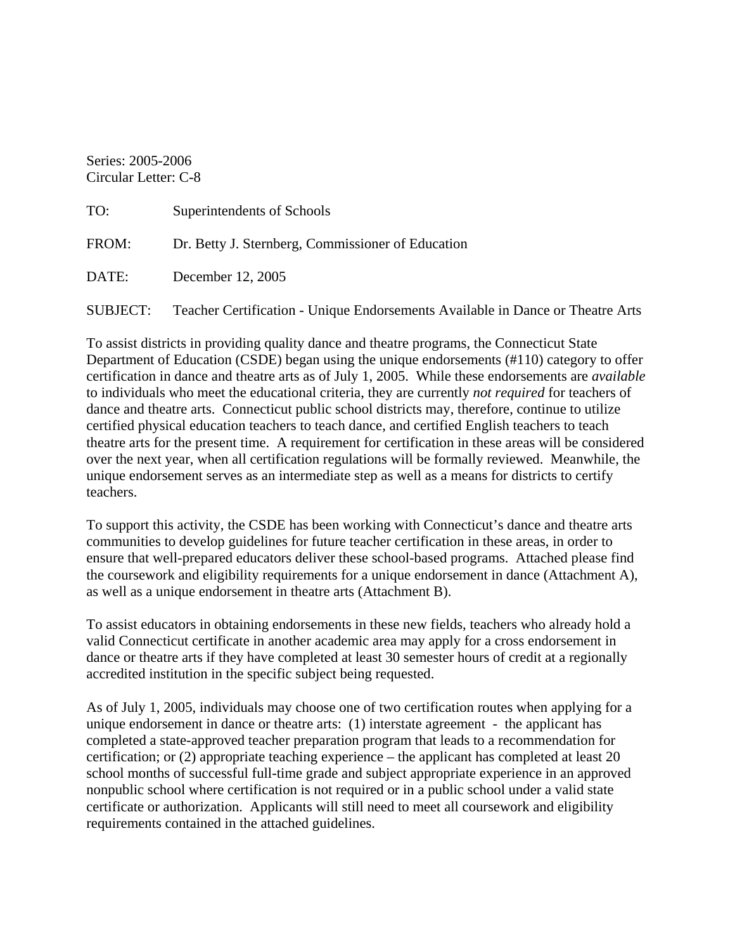Series: 2005-2006 Circular Letter: C-8

| TO:             | Superintendents of Schools                                                     |
|-----------------|--------------------------------------------------------------------------------|
| FROM:           | Dr. Betty J. Sternberg, Commissioner of Education                              |
| DATE:           | December 12, 2005                                                              |
| <b>SUBJECT:</b> | Teacher Certification - Unique Endorsements Available in Dance or Theatre Arts |

To assist districts in providing quality dance and theatre programs, the Connecticut State Department of Education (CSDE) began using the unique endorsements (#110) category to offer certification in dance and theatre arts as of July 1, 2005. While these endorsements are *available* to individuals who meet the educational criteria, they are currently *not required* for teachers of dance and theatre arts. Connecticut public school districts may, therefore, continue to utilize certified physical education teachers to teach dance, and certified English teachers to teach theatre arts for the present time. A requirement for certification in these areas will be considered over the next year, when all certification regulations will be formally reviewed. Meanwhile, the unique endorsement serves as an intermediate step as well as a means for districts to certify teachers.

To support this activity, the CSDE has been working with Connecticut's dance and theatre arts communities to develop guidelines for future teacher certification in these areas, in order to ensure that well-prepared educators deliver these school-based programs. Attached please find the coursework and eligibility requirements for a unique endorsement in dance (Attachment A), as well as a unique endorsement in theatre arts (Attachment B).

To assist educators in obtaining endorsements in these new fields, teachers who already hold a valid Connecticut certificate in another academic area may apply for a cross endorsement in dance or theatre arts if they have completed at least 30 semester hours of credit at a regionally accredited institution in the specific subject being requested.

As of July 1, 2005, individuals may choose one of two certification routes when applying for a unique endorsement in dance or theatre arts: (1) interstate agreement - the applicant has completed a state-approved teacher preparation program that leads to a recommendation for certification; or (2) appropriate teaching experience – the applicant has completed at least 20 school months of successful full-time grade and subject appropriate experience in an approved nonpublic school where certification is not required or in a public school under a valid state certificate or authorization. Applicants will still need to meet all coursework and eligibility requirements contained in the attached guidelines.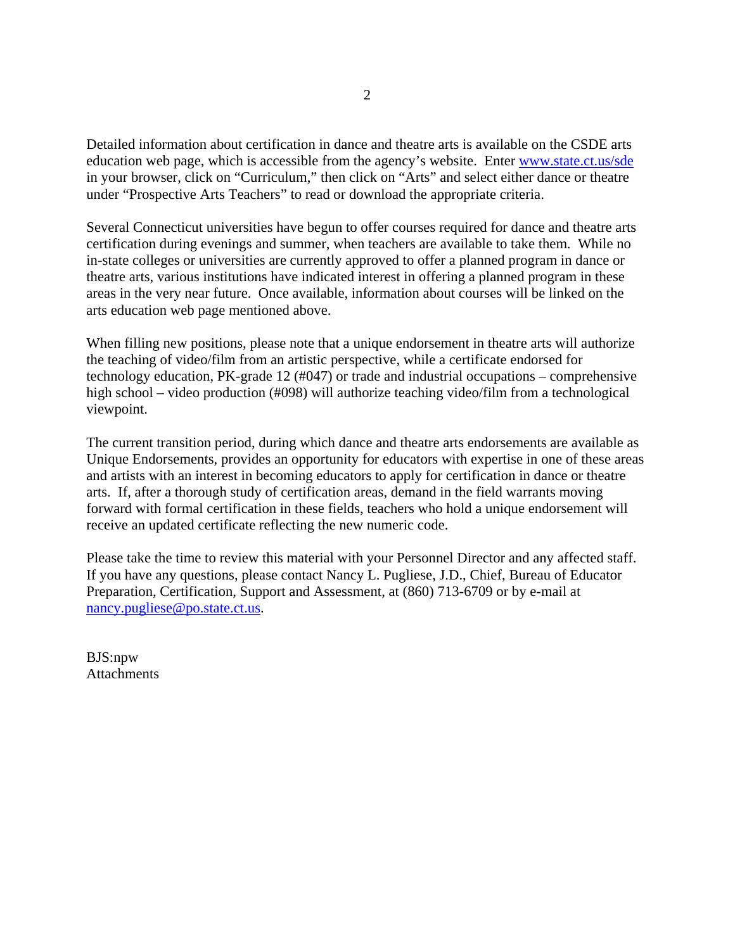Detailed information about certification in dance and theatre arts is available on the CSDE arts education web page, which is accessible from the agency's website. Enter [www.state.ct.us/sde](http://www.state.ct.us/sde) in your browser, click on "Curriculum," then click on "Arts" and select either dance or theatre under "Prospective Arts Teachers" to read or download the appropriate criteria.

Several Connecticut universities have begun to offer courses required for dance and theatre arts certification during evenings and summer, when teachers are available to take them. While no in-state colleges or universities are currently approved to offer a planned program in dance or theatre arts, various institutions have indicated interest in offering a planned program in these areas in the very near future. Once available, information about courses will be linked on the arts education web page mentioned above.

When filling new positions, please note that a unique endorsement in theatre arts will authorize the teaching of video/film from an artistic perspective, while a certificate endorsed for technology education, PK-grade 12 (#047) or trade and industrial occupations – comprehensive high school – video production (#098) will authorize teaching video/film from a technological viewpoint.

The current transition period, during which dance and theatre arts endorsements are available as Unique Endorsements, provides an opportunity for educators with expertise in one of these areas and artists with an interest in becoming educators to apply for certification in dance or theatre arts. If, after a thorough study of certification areas, demand in the field warrants moving forward with formal certification in these fields, teachers who hold a unique endorsement will receive an updated certificate reflecting the new numeric code.

Please take the time to review this material with your Personnel Director and any affected staff. If you have any questions, please contact Nancy L. Pugliese, J.D., Chief, Bureau of Educator Preparation, Certification, Support and Assessment, at (860) 713-6709 or by e-mail at [nancy.pugliese@po.state.ct.us](mailto:nancy.pugliese@po.state.ct.us).

BJS:npw **Attachments**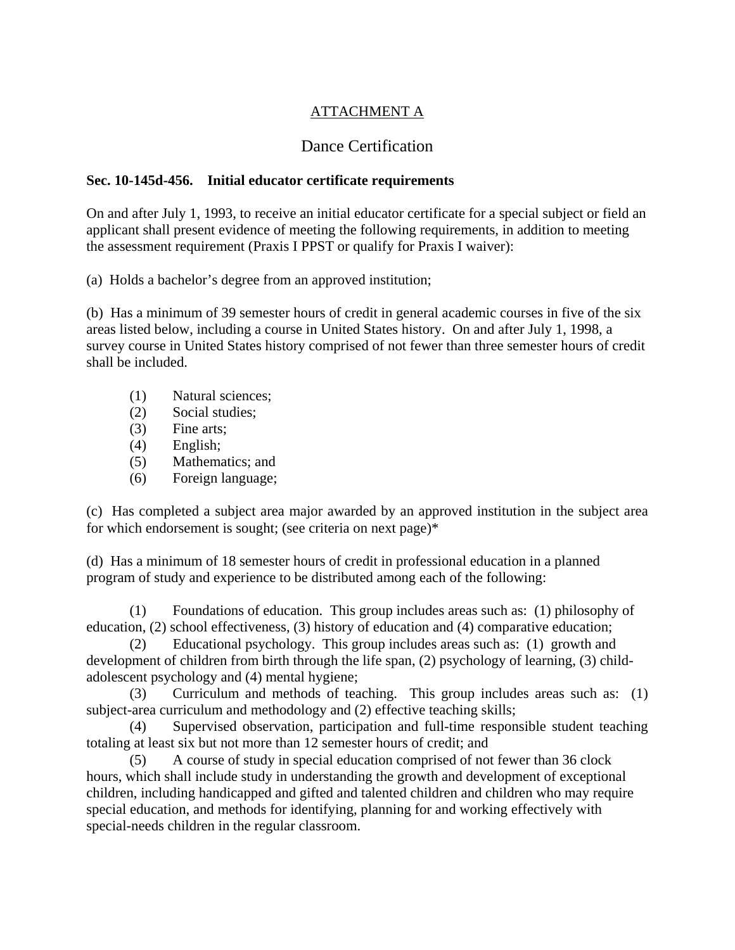# ATTACHMENT A

# Dance Certification

## **Sec. 10-145d-456. Initial educator certificate requirements**

On and after July 1, 1993, to receive an initial educator certificate for a special subject or field an applicant shall present evidence of meeting the following requirements, in addition to meeting the assessment requirement (Praxis I PPST or qualify for Praxis I waiver):

(a) Holds a bachelor's degree from an approved institution;

(b) Has a minimum of 39 semester hours of credit in general academic courses in five of the six areas listed below, including a course in United States history. On and after July 1, 1998, a survey course in United States history comprised of not fewer than three semester hours of credit shall be included.

- (1) Natural sciences;
- (2) Social studies;
- (3) Fine arts;
- (4) English;
- (5) Mathematics; and
- (6) Foreign language;

(c) Has completed a subject area major awarded by an approved institution in the subject area for which endorsement is sought; (see criteria on next page)\*

(d) Has a minimum of 18 semester hours of credit in professional education in a planned program of study and experience to be distributed among each of the following:

 (1) Foundations of education. This group includes areas such as: (1) philosophy of education, (2) school effectiveness, (3) history of education and (4) comparative education;

 (2) Educational psychology. This group includes areas such as: (1) growth and development of children from birth through the life span, (2) psychology of learning, (3) childadolescent psychology and (4) mental hygiene;

 (3) Curriculum and methods of teaching. This group includes areas such as: (1) subject-area curriculum and methodology and (2) effective teaching skills;

 (4) Supervised observation, participation and full-time responsible student teaching totaling at least six but not more than 12 semester hours of credit; and

 (5) A course of study in special education comprised of not fewer than 36 clock hours, which shall include study in understanding the growth and development of exceptional children, including handicapped and gifted and talented children and children who may require special education, and methods for identifying, planning for and working effectively with special-needs children in the regular classroom.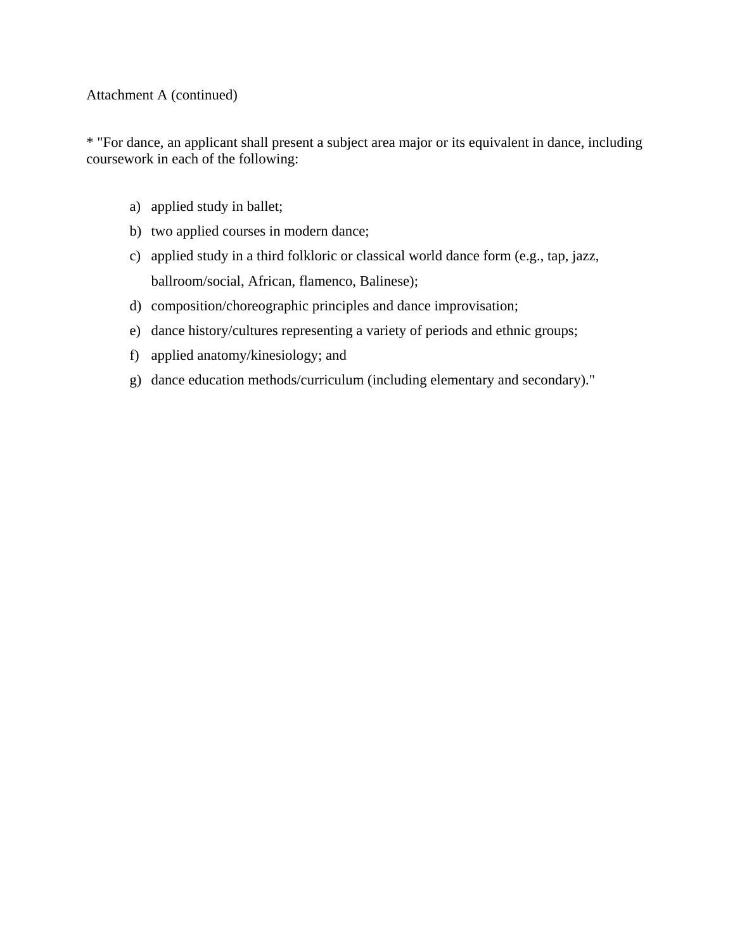#### Attachment A (continued)

\* "For dance, an applicant shall present a subject area major or its equivalent in dance, including coursework in each of the following:

- a) applied study in ballet;
- b) two applied courses in modern dance;
- c) applied study in a third folkloric or classical world dance form (e.g., tap, jazz, ballroom/social, African, flamenco, Balinese);
- d) composition/choreographic principles and dance improvisation;
- e) dance history/cultures representing a variety of periods and ethnic groups;
- f) applied anatomy/kinesiology; and
- g) dance education methods/curriculum (including elementary and secondary)."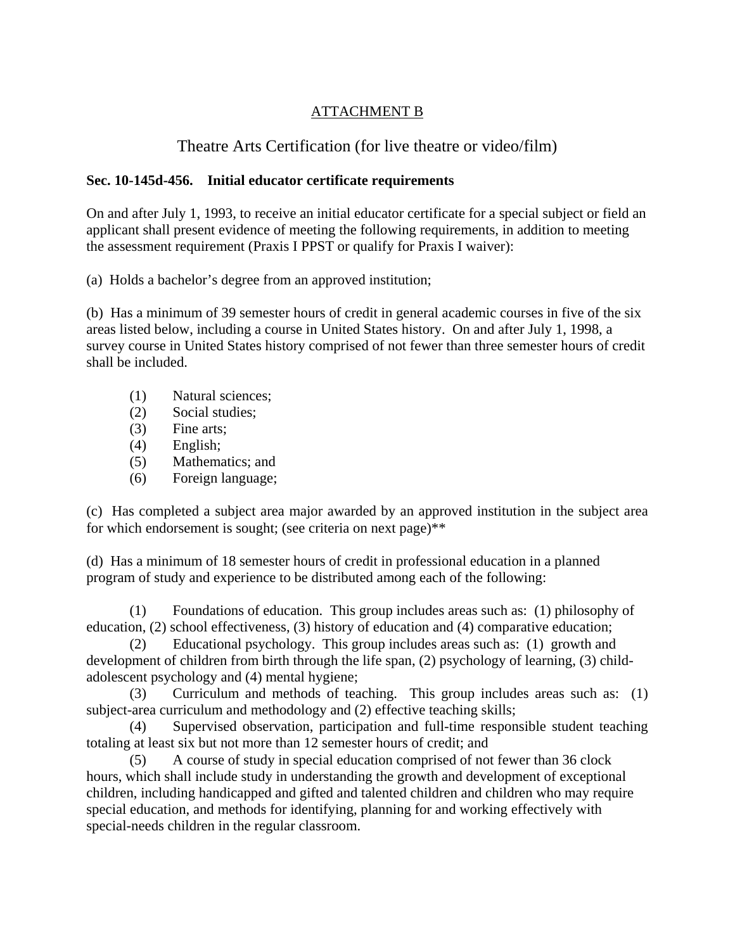## ATTACHMENT B

# Theatre Arts Certification (for live theatre or video/film)

### **Sec. 10-145d-456. Initial educator certificate requirements**

On and after July 1, 1993, to receive an initial educator certificate for a special subject or field an applicant shall present evidence of meeting the following requirements, in addition to meeting the assessment requirement (Praxis I PPST or qualify for Praxis I waiver):

(a) Holds a bachelor's degree from an approved institution;

(b) Has a minimum of 39 semester hours of credit in general academic courses in five of the six areas listed below, including a course in United States history. On and after July 1, 1998, a survey course in United States history comprised of not fewer than three semester hours of credit shall be included.

- (1) Natural sciences;
- (2) Social studies;
- (3) Fine arts;
- (4) English;
- (5) Mathematics; and
- (6) Foreign language;

(c) Has completed a subject area major awarded by an approved institution in the subject area for which endorsement is sought; (see criteria on next page)\*\*

(d) Has a minimum of 18 semester hours of credit in professional education in a planned program of study and experience to be distributed among each of the following:

 (1) Foundations of education. This group includes areas such as: (1) philosophy of education, (2) school effectiveness, (3) history of education and (4) comparative education;

 (2) Educational psychology. This group includes areas such as: (1) growth and development of children from birth through the life span, (2) psychology of learning, (3) childadolescent psychology and (4) mental hygiene;

 (3) Curriculum and methods of teaching. This group includes areas such as: (1) subject-area curriculum and methodology and (2) effective teaching skills;

 (4) Supervised observation, participation and full-time responsible student teaching totaling at least six but not more than 12 semester hours of credit; and

 (5) A course of study in special education comprised of not fewer than 36 clock hours, which shall include study in understanding the growth and development of exceptional children, including handicapped and gifted and talented children and children who may require special education, and methods for identifying, planning for and working effectively with special-needs children in the regular classroom.